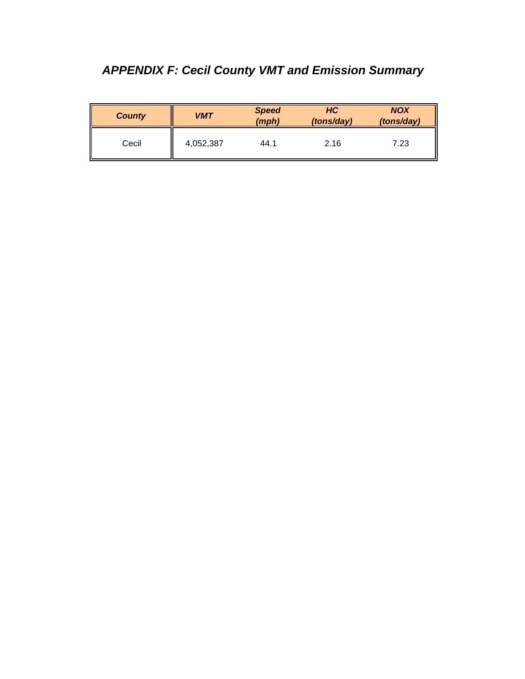## *APPENDIX F: Cecil County VMT and Emission Summary*

| <b>County</b> | <b>VMT</b> | <b>Speed</b><br>(mph) | HC<br>(tons/day) | <b>NOX</b><br>(tons/day) |
|---------------|------------|-----------------------|------------------|--------------------------|
| Cecil         | 4,052,387  | 44.1                  | 2.16             | 7.23                     |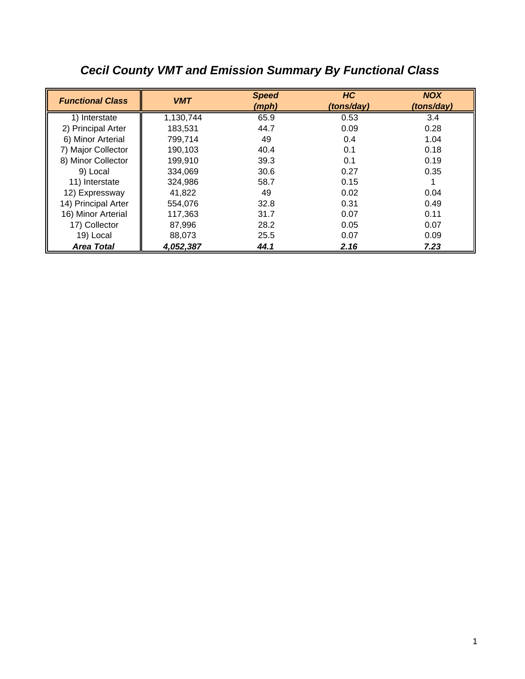| <b>Functional Class</b> | <b>VMT</b> | <b>Speed</b><br>(mph) | HC<br>(tons/day) | <b>NOX</b><br>(tons/day) |
|-------------------------|------------|-----------------------|------------------|--------------------------|
| 1) Interstate           | 1,130,744  | 65.9                  | 0.53             | 3.4                      |
| 2) Principal Arter      | 183.531    | 44.7                  | 0.09             | 0.28                     |
| 6) Minor Arterial       | 799,714    | 49                    | 0.4              | 1.04                     |
| 7) Major Collector      | 190,103    | 40.4                  | 0.1              | 0.18                     |
| 8) Minor Collector      | 199,910    | 39.3                  | 0.1              | 0.19                     |
| 9) Local                | 334,069    | 30.6                  | 0.27             | 0.35                     |
| 11) Interstate          | 324,986    | 58.7                  | 0.15             |                          |
| 12) Expressway          | 41,822     | 49                    | 0.02             | 0.04                     |
| 14) Principal Arter     | 554,076    | 32.8                  | 0.31             | 0.49                     |
| 16) Minor Arterial      | 117,363    | 31.7                  | 0.07             | 0.11                     |
| 17) Collector           | 87,996     | 28.2                  | 0.05             | 0.07                     |
| 19) Local               | 88,073     | 25.5                  | 0.07             | 0.09                     |
| <b>Area Total</b>       | 4,052,387  | 44.1                  | 2.16             | 7.23                     |

## *Cecil County VMT and Emission Summary By Functional Class*